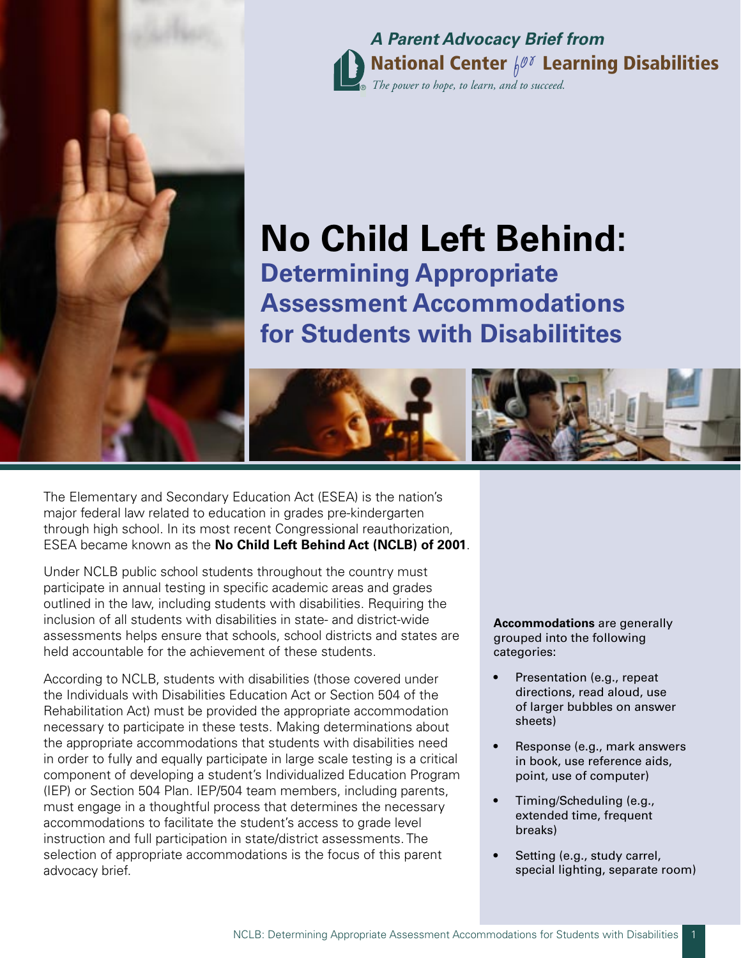

National Center  $\int\!\!\ell^{\not\sigma}$  Learning Disabilities ® *The power to hope, to learn, and to succeed.* **A Parent Advocacy Brief from**

# **No Child Left Behind:**

®

**Determining Appropriate Assessment Accommodations for Students with Disabilitites** 

The Elementary and Secondary Education Act (ESEA) is the nation's major federal law related to education in grades pre-kindergarten through high school. In its most recent Congressional reauthorization, ESEA became known as the **No Child Left Behind Act (NCLB) of 2001**.

Under NCLB public school students throughout the country must participate in annual testing in specific academic areas and grades outlined in the law, including students with disabilities. Requiring the inclusion of all students with disabilities in state- and district-wide assessments helps ensure that schools, school districts and states are held accountable for the achievement of these students.

According to NCLB, students with disabilities (those covered under the Individuals with Disabilities Education Act or Section 504 of the Rehabilitation Act) must be provided the appropriate accommodation necessary to participate in these tests. Making determinations about the appropriate accommodations that students with disabilities need in order to fully and equally participate in large scale testing is a critical component of developing a student's Individualized Education Program (IEP) or Section 504 Plan. IEP/504 team members, including parents, must engage in a thoughtful process that determines the necessary accommodations to facilitate the student's access to grade level instruction and full participation in state/district assessments. The selection of appropriate accommodations is the focus of this parent advocacy brief.

**Accommodations** are generally grouped into the following categories:

- Presentation (e.g., repeat directions, read aloud, use of larger bubbles on answer sheets)
- Response (e.g., mark answers in book, use reference aids, point, use of computer)
- Timing/Scheduling (e.g., extended time, frequent breaks)
- Setting (e.g., study carrel, special lighting, separate room)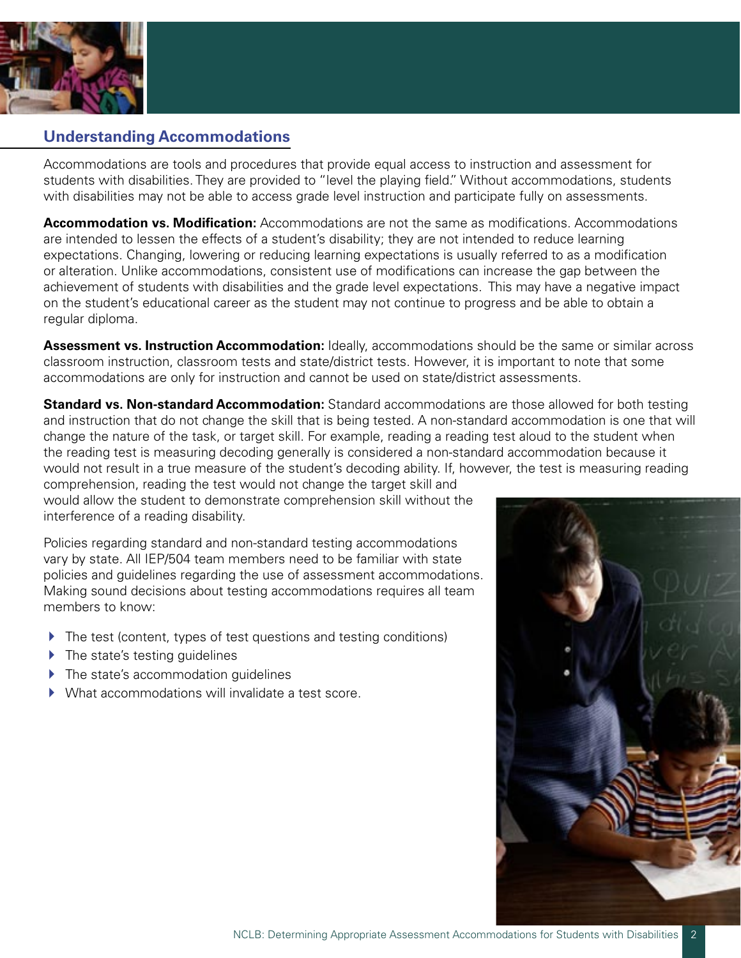

# **Understanding Accommodations**

Accommodations are tools and procedures that provide equal access to instruction and assessment for students with disabilities. They are provided to "level the playing field." Without accommodations, students with disabilities may not be able to access grade level instruction and participate fully on assessments.

**Accommodation vs. Modification:** Accommodations are not the same as modifications. Accommodations are intended to lessen the effects of a student's disability; they are not intended to reduce learning expectations. Changing, lowering or reducing learning expectations is usually referred to as a modification or alteration. Unlike accommodations, consistent use of modifications can increase the gap between the achievement of students with disabilities and the grade level expectations. This may have a negative impact on the student's educational career as the student may not continue to progress and be able to obtain a regular diploma.

**Assessment vs. Instruction Accommodation:** Ideally, accommodations should be the same or similar across classroom instruction, classroom tests and state/district tests. However, it is important to note that some accommodations are only for instruction and cannot be used on state/district assessments.

**Standard vs. Non-standard Accommodation:** Standard accommodations are those allowed for both testing and instruction that do not change the skill that is being tested. A non-standard accommodation is one that will change the nature of the task, or target skill. For example, reading a reading test aloud to the student when the reading test is measuring decoding generally is considered a non-standard accommodation because it would not result in a true measure of the student's decoding ability. If, however, the test is measuring reading

comprehension, reading the test would not change the target skill and would allow the student to demonstrate comprehension skill without the interference of a reading disability.

Policies regarding standard and non-standard testing accommodations vary by state. All IEP/504 team members need to be familiar with state policies and guidelines regarding the use of assessment accommodations. Making sound decisions about testing accommodations requires all team members to know:

- $\blacktriangleright$  The test (content, types of test questions and testing conditions)
- ▶ The state's testing guidelines
- $\blacktriangleright$  The state's accommodation quidelines
- What accommodations will invalidate a test score.

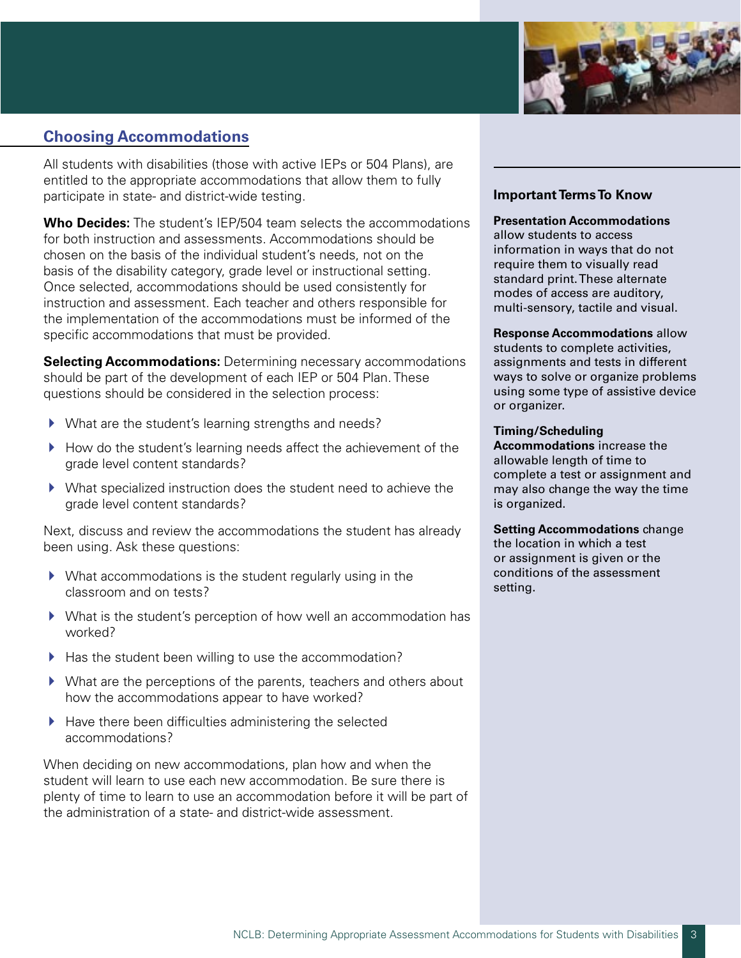

# **Choosing Accommodations**

All students with disabilities (those with active IEPs or 504 Plans), are entitled to the appropriate accommodations that allow them to fully participate in state- and district-wide testing.

**Who Decides:** The student's IEP/504 team selects the accommodations for both instruction and assessments. Accommodations should be chosen on the basis of the individual student's needs, not on the basis of the disability category, grade level or instructional setting. Once selected, accommodations should be used consistently for instruction and assessment. Each teacher and others responsible for the implementation of the accommodations must be informed of the specific accommodations that must be provided.

**Selecting Accommodations:** Determining necessary accommodations should be part of the development of each IEP or 504 Plan. These questions should be considered in the selection process:

- $\blacktriangleright$  What are the student's learning strengths and needs?
- $\blacktriangleright$  How do the student's learning needs affect the achievement of the grade level content standards?
- $\blacktriangleright$  What specialized instruction does the student need to achieve the grade level content standards?

Next, discuss and review the accommodations the student has already been using. Ask these questions:

- $\blacktriangleright$  What accommodations is the student regularly using in the classroom and on tests?
- ▶ What is the student's perception of how well an accommodation has worked?
- $\blacktriangleright$  Has the student been willing to use the accommodation?
- $\blacktriangleright$  What are the perceptions of the parents, teachers and others about how the accommodations appear to have worked?
- $\blacktriangleright$  Have there been difficulties administering the selected accommodations?

When deciding on new accommodations, plan how and when the student will learn to use each new accommodation. Be sure there is plenty of time to learn to use an accommodation before it will be part of the administration of a state- and district-wide assessment.

# **Important Terms To Know**

#### **Presentation Accommodations**

allow students to access information in ways that do not require them to visually read standard print. These alternate modes of access are auditory, multi-sensory, tactile and visual.

**Response Accommodations** allow students to complete activities, assignments and tests in different ways to solve or organize problems using some type of assistive device or organizer.

#### **Timing/Scheduling**

**Accommodations** increase the allowable length of time to complete a test or assignment and may also change the way the time is organized.

**Setting Accommodations** change the location in which a test or assignment is given or the conditions of the assessment setting.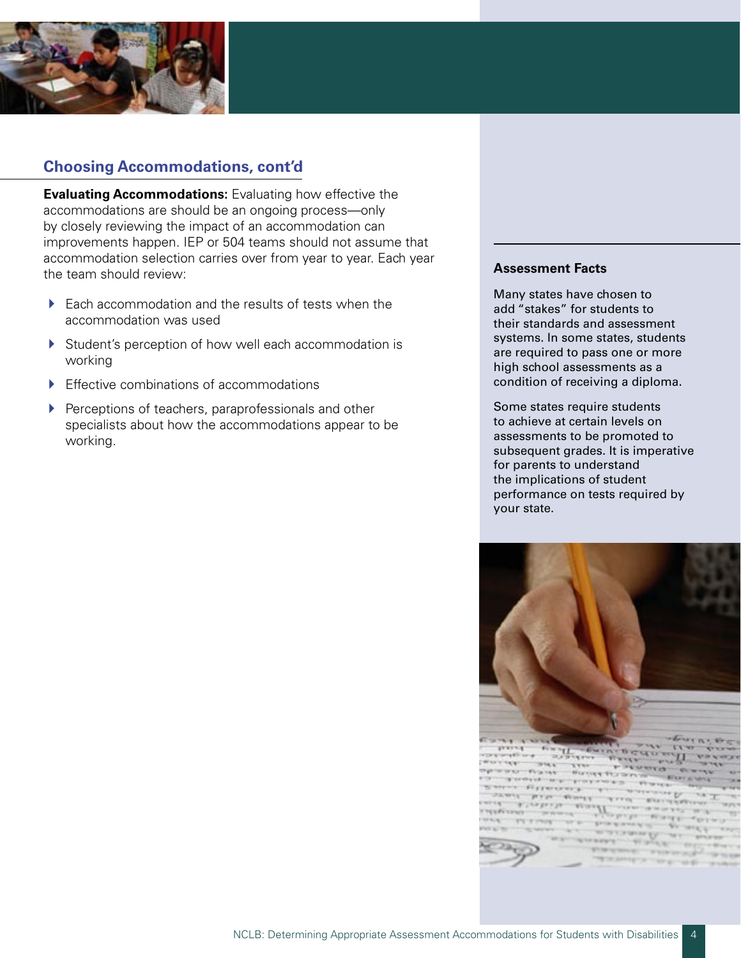

# **Choosing Accommodations, cont'd**

**Evaluating Accommodations:** Evaluating how effective the accommodations are should be an ongoing process—only by closely reviewing the impact of an accommodation can improvements happen. IEP or 504 teams should not assume that accommodation selection carries over from year to year. Each year the team should review:

- $\blacktriangleright$  Each accommodation and the results of tests when the accommodation was used
- ▶ Student's perception of how well each accommodation is working
- $\blacktriangleright$  Effective combinations of accommodations
- **Perceptions of teachers, paraprofessionals and other** specialists about how the accommodations appear to be working.

#### **Assessment Facts**

Many states have chosen to add "stakes" for students to their standards and assessment systems. In some states, students are required to pass one or more high school assessments as a condition of receiving a diploma.

Some states require students to achieve at certain levels on assessments to be promoted to subsequent grades. It is imperative for parents to understand the implications of student performance on tests required by your state.

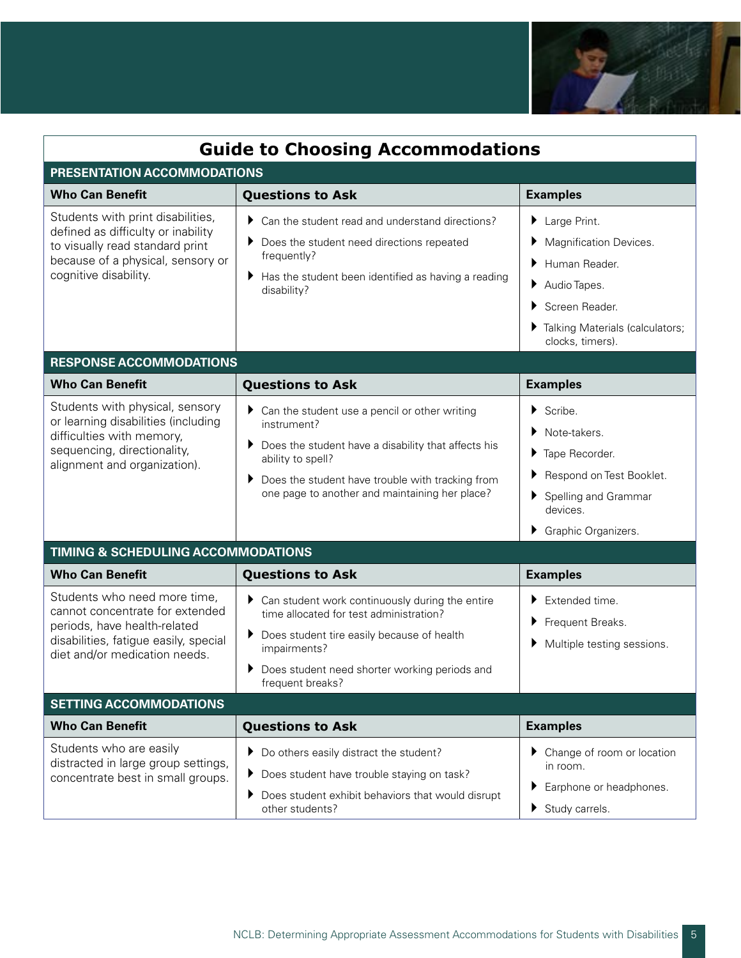

| <b>Guide to Choosing Accommodations</b>                                                                                                                                   |                                                                                                                                                                                                                                                           |                                                                                                                                                                         |
|---------------------------------------------------------------------------------------------------------------------------------------------------------------------------|-----------------------------------------------------------------------------------------------------------------------------------------------------------------------------------------------------------------------------------------------------------|-------------------------------------------------------------------------------------------------------------------------------------------------------------------------|
| PRESENTATION ACCOMMODATIONS                                                                                                                                               |                                                                                                                                                                                                                                                           |                                                                                                                                                                         |
| <b>Who Can Benefit</b>                                                                                                                                                    | <b>Questions to Ask</b>                                                                                                                                                                                                                                   | <b>Examples</b>                                                                                                                                                         |
| Students with print disabilities,<br>defined as difficulty or inability<br>to visually read standard print<br>because of a physical, sensory or<br>cognitive disability.  | Can the student read and understand directions?<br>Þ.<br>Does the student need directions repeated<br>▶<br>frequently?<br>Has the student been identified as having a reading<br>▶<br>disability?                                                         | Large Print.<br>Magnification Devices.<br>Human Reader.<br>Audio Tapes.<br>Screen Reader.<br>Talking Materials (calculators;<br>clocks, timers).                        |
| <b>RESPONSE ACCOMMODATIONS</b>                                                                                                                                            |                                                                                                                                                                                                                                                           |                                                                                                                                                                         |
| <b>Who Can Benefit</b>                                                                                                                                                    | <b>Questions to Ask</b>                                                                                                                                                                                                                                   | <b>Examples</b>                                                                                                                                                         |
| Students with physical, sensory<br>or learning disabilities (including<br>difficulties with memory,<br>sequencing, directionality,<br>alignment and organization).        | Can the student use a pencil or other writing<br>▶<br>instrument?<br>Does the student have a disability that affects his<br>Þ.<br>ability to spell?<br>Does the student have trouble with tracking from<br>one page to another and maintaining her place? | $\triangleright$ Scribe.<br>$\blacktriangleright$ Note-takers.<br>Tape Recorder.<br>Respond on Test Booklet.<br>Spelling and Grammar<br>devices.<br>Graphic Organizers. |
| <b>TIMING &amp; SCHEDULING ACCOMMODATIONS</b>                                                                                                                             |                                                                                                                                                                                                                                                           |                                                                                                                                                                         |
| <b>Who Can Benefit</b>                                                                                                                                                    | <b>Questions to Ask</b>                                                                                                                                                                                                                                   | <b>Examples</b>                                                                                                                                                         |
| Students who need more time,<br>cannot concentrate for extended<br>periods, have health-related<br>disabilities, fatigue easily, special<br>diet and/or medication needs. | Can student work continuously during the entire<br>▶<br>time allocated for test administration?<br>Does student tire easily because of health<br>▶<br>impairments?<br>Does student need shorter working periods and<br>▶<br>frequent breaks?              | $\blacktriangleright$ Extended time.<br>Frequent Breaks.<br>Multiple testing sessions.                                                                                  |
| <b>SETTING ACCOMMODATIONS</b>                                                                                                                                             |                                                                                                                                                                                                                                                           |                                                                                                                                                                         |
| <b>Who Can Benefit</b>                                                                                                                                                    | <b>Questions to Ask</b>                                                                                                                                                                                                                                   | <b>Examples</b>                                                                                                                                                         |
| Students who are easily<br>distracted in large group settings,<br>concentrate best in small groups.                                                                       | Do others easily distract the student?<br>▶<br>Does student have trouble staying on task?<br>▶<br>Does student exhibit behaviors that would disrupt<br>▶<br>other students?                                                                               | ▶ Change of room or location<br>in room.<br>Earphone or headphones.<br>Study carrels.                                                                                   |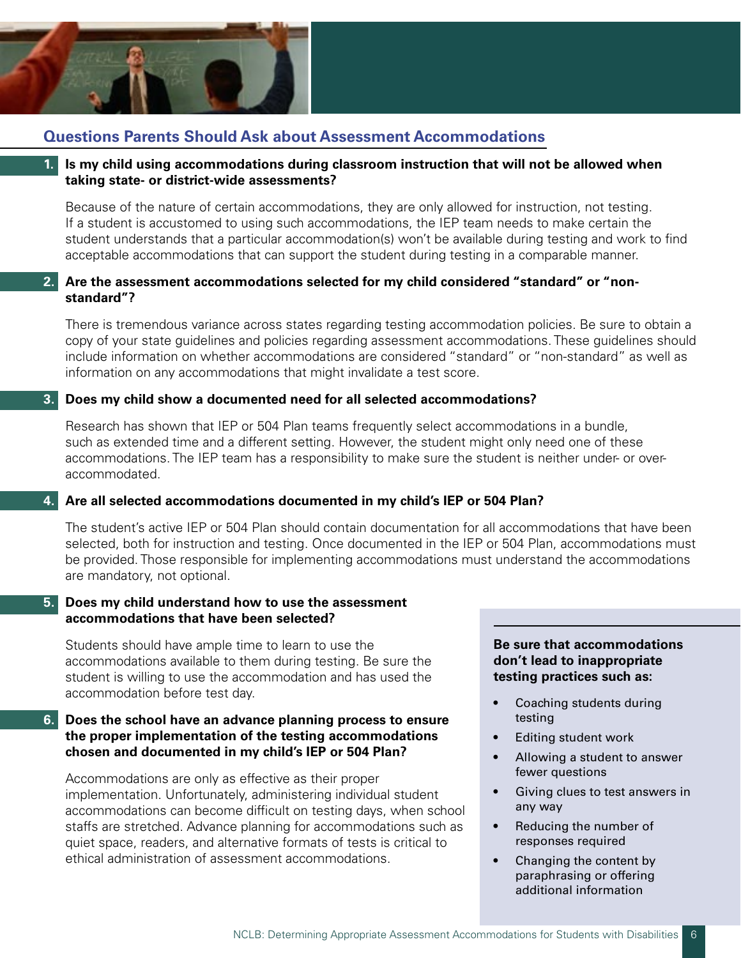

# **Questions Parents Should Ask about Assessment Accommodations**

### **1. Is my child using accommodations during classroom instruction that will not be allowed when taking state- or district-wide assessments?**

 Because of the nature of certain accommodations, they are only allowed for instruction, not testing. If a student is accustomed to using such accommodations, the IEP team needs to make certain the student understands that a particular accommodation(s) won't be available during testing and work to find acceptable accommodations that can support the student during testing in a comparable manner.

# **2. Are the assessment accommodations selected for my child considered "standard" or "nonstandard"?**

 There is tremendous variance across states regarding testing accommodation policies. Be sure to obtain a copy of your state guidelines and policies regarding assessment accommodations. These guidelines should include information on whether accommodations are considered "standard" or "non-standard" as well as information on any accommodations that might invalidate a test score.

# **3. Does my child show a documented need for all selected accommodations?**

 Research has shown that IEP or 504 Plan teams frequently select accommodations in a bundle, such as extended time and a different setting. However, the student might only need one of these accommodations. The IEP team has a responsibility to make sure the student is neither under- or overaccommodated.

# **4. Are all selected accommodations documented in my child's IEP or 504 Plan?**

 The student's active IEP or 504 Plan should contain documentation for all accommodations that have been selected, both for instruction and testing. Once documented in the IEP or 504 Plan, accommodations must be provided. Those responsible for implementing accommodations must understand the accommodations are mandatory, not optional.

### **5. Does my child understand how to use the assessment accommodations that have been selected?**

 Students should have ample time to learn to use the accommodations available to them during testing. Be sure the student is willing to use the accommodation and has used the accommodation before test day.

# **6. Does the school have an advance planning process to ensure the proper implementation of the testing accommodations chosen and documented in my child's IEP or 504 Plan?**

 Accommodations are only as effective as their proper implementation. Unfortunately, administering individual student accommodations can become difficult on testing days, when school staffs are stretched. Advance planning for accommodations such as quiet space, readers, and alternative formats of tests is critical to ethical administration of assessment accommodations.

#### **Be sure that accommodations don't lead to inappropriate testing practices such as:**

- Coaching students during testing
- Editing student work
- Allowing a student to answer fewer questions
- Giving clues to test answers in any way
- Reducing the number of responses required
- Changing the content by paraphrasing or offering additional information